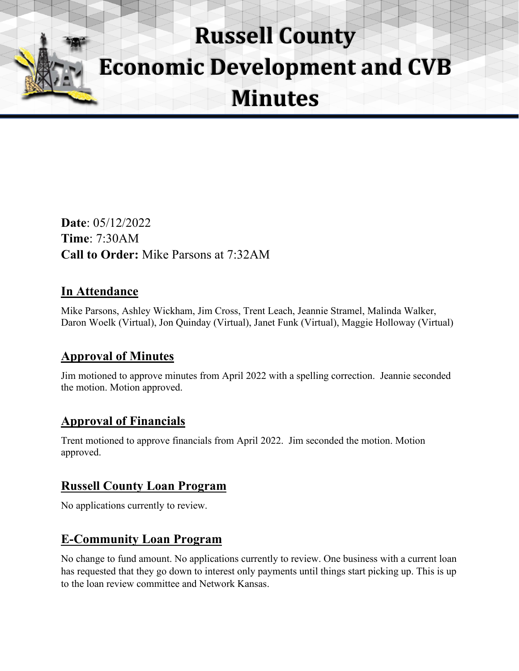# **Russell County Economic Development and CVB Minutes**

**Date**: 05/12/2022 **Time**: 7:30AM **Call to Order:** Mike Parsons at 7:32AM

## **In Attendance**

Mike Parsons, Ashley Wickham, Jim Cross, Trent Leach, Jeannie Stramel, Malinda Walker, Daron Woelk (Virtual), Jon Quinday (Virtual), Janet Funk (Virtual), Maggie Holloway (Virtual)

## **Approval of Minutes**

Jim motioned to approve minutes from April 2022 with a spelling correction. Jeannie seconded the motion. Motion approved.

#### **Approval of Financials**

Trent motioned to approve financials from April 2022. Jim seconded the motion. Motion approved.

## **Russell County Loan Program**

No applications currently to review.

#### **E-Community Loan Program**

No change to fund amount. No applications currently to review. One business with a current loan has requested that they go down to interest only payments until things start picking up. This is up to the loan review committee and Network Kansas.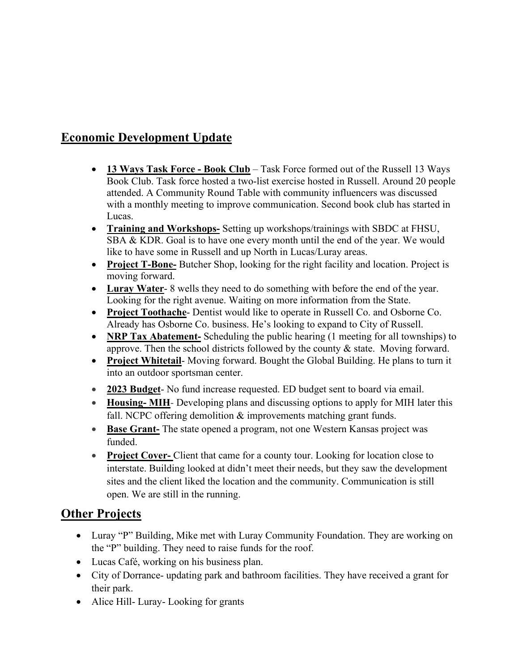## **Economic Development Update**

- **13 Ways Task Force Book Club** Task Force formed out of the Russell 13 Ways Book Club. Task force hosted a two-list exercise hosted in Russell. Around 20 people attended. A Community Round Table with community influencers was discussed with a monthly meeting to improve communication. Second book club has started in Lucas.
- **Training and Workshops-** Setting up workshops/trainings with SBDC at FHSU, SBA & KDR. Goal is to have one every month until the end of the year. We would like to have some in Russell and up North in Lucas/Luray areas.
- **Project T-Bone-** Butcher Shop, looking for the right facility and location. Project is moving forward.
- **Luray Water** 8 wells they need to do something with before the end of the year. Looking for the right avenue. Waiting on more information from the State.
- **Project Toothache** Dentist would like to operate in Russell Co. and Osborne Co. Already has Osborne Co. business. He's looking to expand to City of Russell.
- **NRP Tax Abatement-** Scheduling the public hearing (1 meeting for all townships) to approve. Then the school districts followed by the county & state. Moving forward.
- **Project Whitetail** Moving forward. Bought the Global Building. He plans to turn it into an outdoor sportsman center.
- **2023 Budget** No fund increase requested. ED budget sent to board via email.
- **Housing- MIH** Developing plans and discussing options to apply for MIH later this fall. NCPC offering demolition & improvements matching grant funds.
- **Base Grant-** The state opened a program, not one Western Kansas project was funded.
- **Project Cover-** Client that came for a county tour. Looking for location close to interstate. Building looked at didn't meet their needs, but they saw the development sites and the client liked the location and the community. Communication is still open. We are still in the running.

#### **Other Projects**

- Luray "P" Building, Mike met with Luray Community Foundation. They are working on the "P" building. They need to raise funds for the roof.
- Lucas Café, working on his business plan.
- City of Dorrance- updating park and bathroom facilities. They have received a grant for their park.
- Alice Hill- Luray- Looking for grants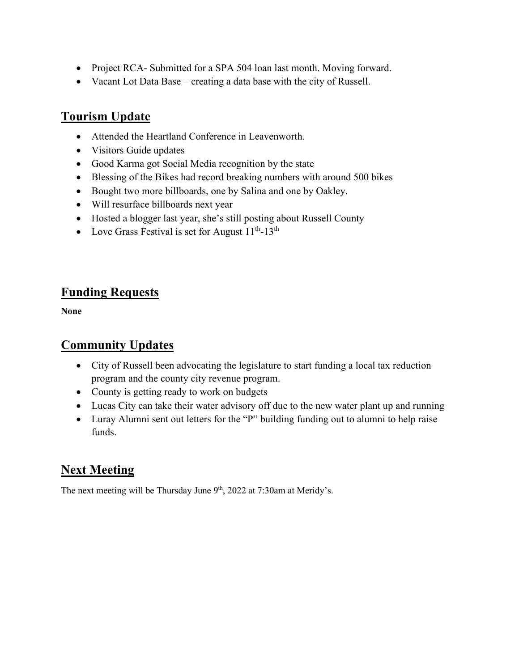- Project RCA- Submitted for a SPA 504 loan last month. Moving forward.
- Vacant Lot Data Base creating a data base with the city of Russell.

## **Tourism Update**

- Attended the Heartland Conference in Leavenworth.
- Visitors Guide updates
- Good Karma got Social Media recognition by the state
- Blessing of the Bikes had record breaking numbers with around 500 bikes
- Bought two more billboards, one by Salina and one by Oakley.
- Will resurface billboards next year
- Hosted a blogger last year, she's still posting about Russell County
- Love Grass Festival is set for August  $11^{th}$ -13<sup>th</sup>

#### **Funding Requests**

**None** 

#### **Community Updates**

- City of Russell been advocating the legislature to start funding a local tax reduction program and the county city revenue program.
- County is getting ready to work on budgets
- Lucas City can take their water advisory off due to the new water plant up and running
- Luray Alumni sent out letters for the "P" building funding out to alumni to help raise funds.

## **Next Meeting**

The next meeting will be Thursday June 9<sup>th</sup>, 2022 at 7:30am at Meridy's.